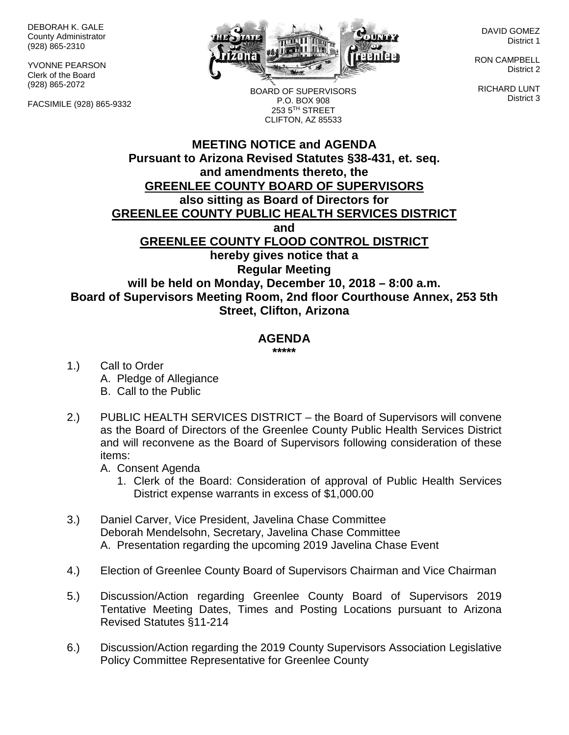DEBORAH K. GALE County Administrator (928) 865-2310

YVONNE PEARSON Clerk of the Board (928) 865-2072

FACSIMILE (928) 865-9332



DAVID GOMEZ District 1

RON CAMPBELL District 2

RICHARD LUNT District 3

BOARD OF SUPERVISORS P.O. BOX 908 253 5TH STREET CLIFTON, AZ 85533

## **MEETING NOTICE and AGENDA Pursuant to Arizona Revised Statutes §38-431, et. seq. and amendments thereto, the GREENLEE COUNTY BOARD OF SUPERVISORS also sitting as Board of Directors for GREENLEE COUNTY PUBLIC HEALTH SERVICES DISTRICT and GREENLEE COUNTY FLOOD CONTROL DISTRICT hereby gives notice that a Regular Meeting will be held on Monday, December 10, 2018 – 8:00 a.m. Board of Supervisors Meeting Room, 2nd floor Courthouse Annex, 253 5th Street, Clifton, Arizona**

## **AGENDA**

**\*\*\*\*\***

- 1.) Call to Order A. Pledge of Allegiance B. Call to the Public
- 2.) PUBLIC HEALTH SERVICES DISTRICT the Board of Supervisors will convene as the Board of Directors of the Greenlee County Public Health Services District and will reconvene as the Board of Supervisors following consideration of these items:
	- A. Consent Agenda
		- 1. Clerk of the Board: Consideration of approval of Public Health Services District expense warrants in excess of \$1,000.00
- 3.) Daniel Carver, Vice President, Javelina Chase Committee Deborah Mendelsohn, Secretary, Javelina Chase Committee A. Presentation regarding the upcoming 2019 Javelina Chase Event
- 4.) Election of Greenlee County Board of Supervisors Chairman and Vice Chairman
- 5.) Discussion/Action regarding Greenlee County Board of Supervisors 2019 Tentative Meeting Dates, Times and Posting Locations pursuant to Arizona Revised Statutes §11-214
- 6.) Discussion/Action regarding the 2019 County Supervisors Association Legislative Policy Committee Representative for Greenlee County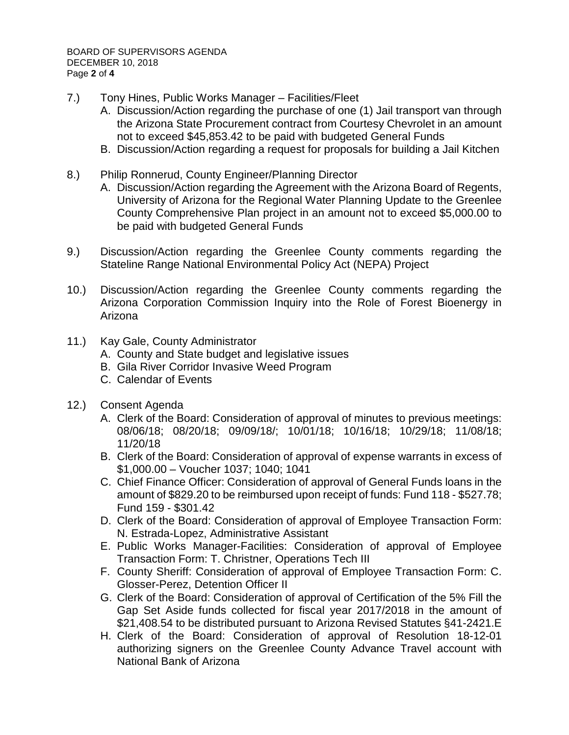BOARD OF SUPERVISORS AGENDA DECEMBER 10, 2018 Page **2** of **4**

- 7.) Tony Hines, Public Works Manager Facilities/Fleet
	- A. Discussion/Action regarding the purchase of one (1) Jail transport van through the Arizona State Procurement contract from Courtesy Chevrolet in an amount not to exceed \$45,853.42 to be paid with budgeted General Funds
	- B. Discussion/Action regarding a request for proposals for building a Jail Kitchen
- 8.) Philip Ronnerud, County Engineer/Planning Director
	- A. Discussion/Action regarding the Agreement with the Arizona Board of Regents, University of Arizona for the Regional Water Planning Update to the Greenlee County Comprehensive Plan project in an amount not to exceed \$5,000.00 to be paid with budgeted General Funds
- 9.) Discussion/Action regarding the Greenlee County comments regarding the Stateline Range National Environmental Policy Act (NEPA) Project
- 10.) Discussion/Action regarding the Greenlee County comments regarding the Arizona Corporation Commission Inquiry into the Role of Forest Bioenergy in Arizona
- 11.) Kay Gale, County Administrator
	- A. County and State budget and legislative issues
	- B. Gila River Corridor Invasive Weed Program
	- C. Calendar of Events
- 12.) Consent Agenda
	- A. Clerk of the Board: Consideration of approval of minutes to previous meetings: 08/06/18; 08/20/18; 09/09/18/; 10/01/18; 10/16/18; 10/29/18; 11/08/18; 11/20/18
	- B. Clerk of the Board: Consideration of approval of expense warrants in excess of \$1,000.00 – Voucher 1037; 1040; 1041
	- C. Chief Finance Officer: Consideration of approval of General Funds loans in the amount of \$829.20 to be reimbursed upon receipt of funds: Fund 118 - \$527.78; Fund 159 - \$301.42
	- D. Clerk of the Board: Consideration of approval of Employee Transaction Form: N. Estrada-Lopez, Administrative Assistant
	- E. Public Works Manager-Facilities: Consideration of approval of Employee Transaction Form: T. Christner, Operations Tech III
	- F. County Sheriff: Consideration of approval of Employee Transaction Form: C. Glosser-Perez, Detention Officer II
	- G. Clerk of the Board: Consideration of approval of Certification of the 5% Fill the Gap Set Aside funds collected for fiscal year 2017/2018 in the amount of \$21,408.54 to be distributed pursuant to Arizona Revised Statutes §41-2421.E
	- H. Clerk of the Board: Consideration of approval of Resolution 18-12-01 authorizing signers on the Greenlee County Advance Travel account with National Bank of Arizona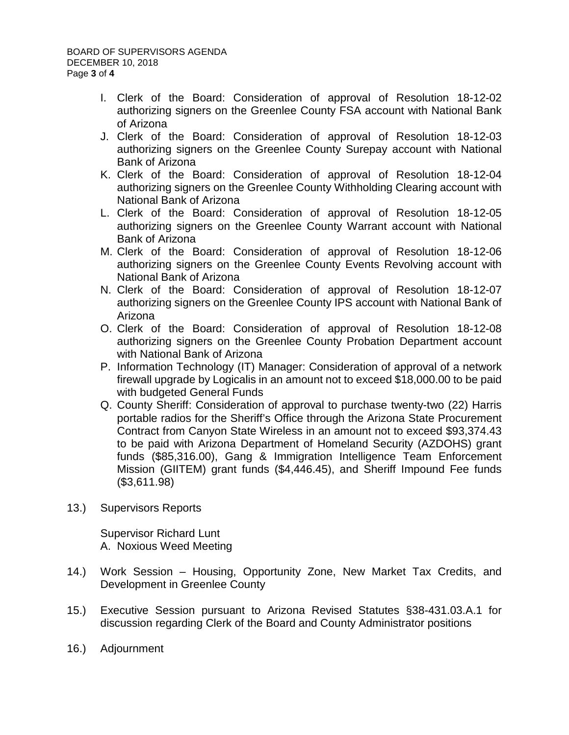- I. Clerk of the Board: Consideration of approval of Resolution 18-12-02 authorizing signers on the Greenlee County FSA account with National Bank of Arizona
- J. Clerk of the Board: Consideration of approval of Resolution 18-12-03 authorizing signers on the Greenlee County Surepay account with National Bank of Arizona
- K. Clerk of the Board: Consideration of approval of Resolution 18-12-04 authorizing signers on the Greenlee County Withholding Clearing account with National Bank of Arizona
- L. Clerk of the Board: Consideration of approval of Resolution 18-12-05 authorizing signers on the Greenlee County Warrant account with National Bank of Arizona
- M. Clerk of the Board: Consideration of approval of Resolution 18-12-06 authorizing signers on the Greenlee County Events Revolving account with National Bank of Arizona
- N. Clerk of the Board: Consideration of approval of Resolution 18-12-07 authorizing signers on the Greenlee County IPS account with National Bank of Arizona
- O. Clerk of the Board: Consideration of approval of Resolution 18-12-08 authorizing signers on the Greenlee County Probation Department account with National Bank of Arizona
- P. Information Technology (IT) Manager: Consideration of approval of a network firewall upgrade by Logicalis in an amount not to exceed \$18,000.00 to be paid with budgeted General Funds
- Q. County Sheriff: Consideration of approval to purchase twenty-two (22) Harris portable radios for the Sheriff's Office through the Arizona State Procurement Contract from Canyon State Wireless in an amount not to exceed \$93,374.43 to be paid with Arizona Department of Homeland Security (AZDOHS) grant funds (\$85,316.00), Gang & Immigration Intelligence Team Enforcement Mission (GIITEM) grant funds (\$4,446.45), and Sheriff Impound Fee funds (\$3,611.98)
- 13.) Supervisors Reports

Supervisor Richard Lunt A. Noxious Weed Meeting

- 14.) Work Session Housing, Opportunity Zone, New Market Tax Credits, and Development in Greenlee County
- 15.) Executive Session pursuant to Arizona Revised Statutes §38-431.03.A.1 for discussion regarding Clerk of the Board and County Administrator positions
- 16.) Adjournment